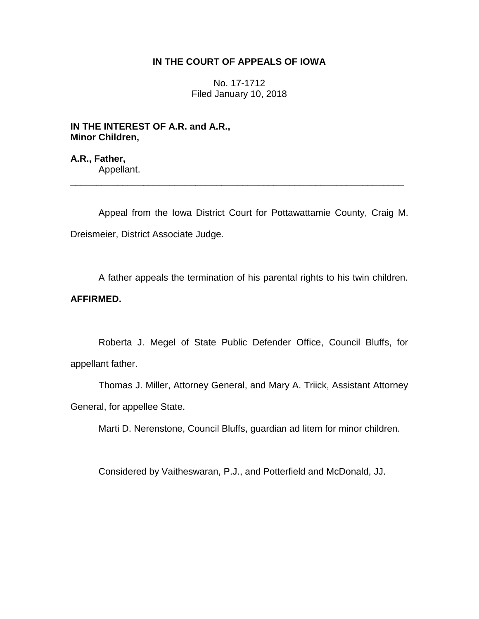## **IN THE COURT OF APPEALS OF IOWA**

No. 17-1712 Filed January 10, 2018

**IN THE INTEREST OF A.R. and A.R., Minor Children,**

**A.R., Father,** Appellant.

Appeal from the Iowa District Court for Pottawattamie County, Craig M. Dreismeier, District Associate Judge.

\_\_\_\_\_\_\_\_\_\_\_\_\_\_\_\_\_\_\_\_\_\_\_\_\_\_\_\_\_\_\_\_\_\_\_\_\_\_\_\_\_\_\_\_\_\_\_\_\_\_\_\_\_\_\_\_\_\_\_\_\_\_\_\_

A father appeals the termination of his parental rights to his twin children.

# **AFFIRMED.**

Roberta J. Megel of State Public Defender Office, Council Bluffs, for appellant father.

Thomas J. Miller, Attorney General, and Mary A. Triick, Assistant Attorney General, for appellee State.

Marti D. Nerenstone, Council Bluffs, guardian ad litem for minor children.

Considered by Vaitheswaran, P.J., and Potterfield and McDonald, JJ.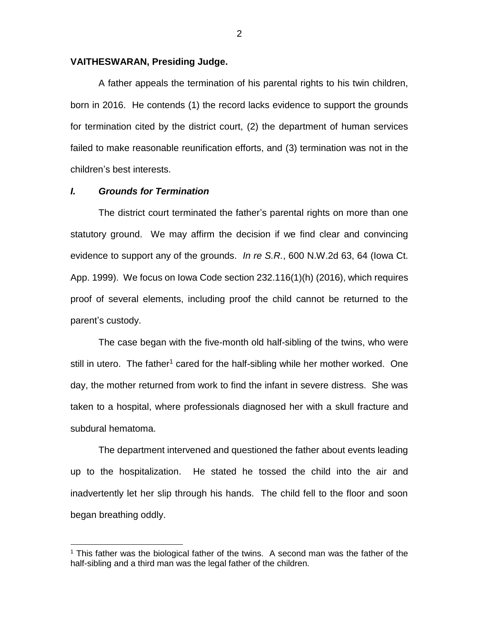#### **VAITHESWARAN, Presiding Judge.**

A father appeals the termination of his parental rights to his twin children, born in 2016. He contends (1) the record lacks evidence to support the grounds for termination cited by the district court, (2) the department of human services failed to make reasonable reunification efforts, and (3) termination was not in the children's best interests.

### *I. Grounds for Termination*

 $\overline{a}$ 

The district court terminated the father's parental rights on more than one statutory ground. We may affirm the decision if we find clear and convincing evidence to support any of the grounds. *In re S.R.*, 600 N.W.2d 63, 64 (Iowa Ct. App. 1999). We focus on Iowa Code section 232.116(1)(h) (2016), which requires proof of several elements, including proof the child cannot be returned to the parent's custody.

The case began with the five-month old half-sibling of the twins, who were still in utero. The father<sup>1</sup> cared for the half-sibling while her mother worked. One day, the mother returned from work to find the infant in severe distress. She was taken to a hospital, where professionals diagnosed her with a skull fracture and subdural hematoma.

The department intervened and questioned the father about events leading up to the hospitalization. He stated he tossed the child into the air and inadvertently let her slip through his hands. The child fell to the floor and soon began breathing oddly.

<sup>&</sup>lt;sup>1</sup> This father was the biological father of the twins. A second man was the father of the half-sibling and a third man was the legal father of the children.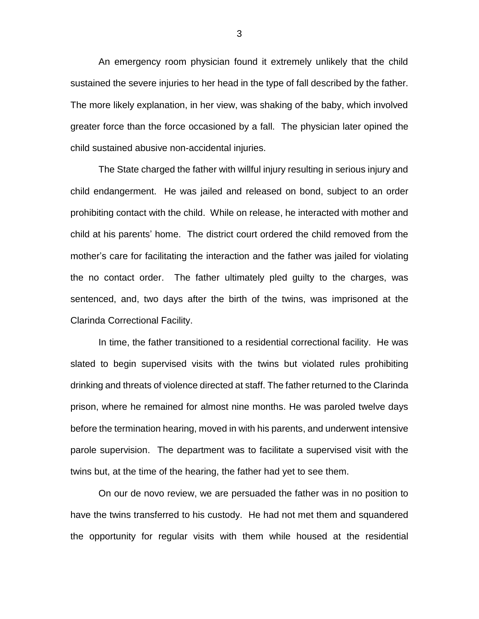An emergency room physician found it extremely unlikely that the child sustained the severe injuries to her head in the type of fall described by the father. The more likely explanation, in her view, was shaking of the baby, which involved greater force than the force occasioned by a fall. The physician later opined the child sustained abusive non-accidental injuries.

The State charged the father with willful injury resulting in serious injury and child endangerment. He was jailed and released on bond, subject to an order prohibiting contact with the child. While on release, he interacted with mother and child at his parents' home. The district court ordered the child removed from the mother's care for facilitating the interaction and the father was jailed for violating the no contact order. The father ultimately pled guilty to the charges, was sentenced, and, two days after the birth of the twins, was imprisoned at the Clarinda Correctional Facility.

In time, the father transitioned to a residential correctional facility. He was slated to begin supervised visits with the twins but violated rules prohibiting drinking and threats of violence directed at staff. The father returned to the Clarinda prison, where he remained for almost nine months. He was paroled twelve days before the termination hearing, moved in with his parents, and underwent intensive parole supervision. The department was to facilitate a supervised visit with the twins but, at the time of the hearing, the father had yet to see them.

 On our de novo review, we are persuaded the father was in no position to have the twins transferred to his custody. He had not met them and squandered the opportunity for regular visits with them while housed at the residential

3